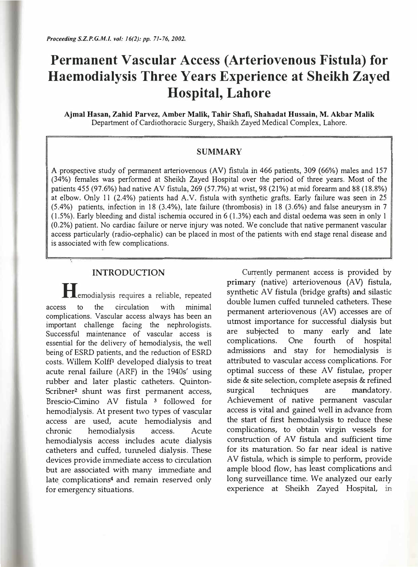# **Permanent Vascular Access (Arteriovenous Fistula) for Haemodialysis Three Years Experience at Sheikh Zayed Hospital, Lahore**

**Ajmal Hasan, Zahid Parvez, Amber Malik, Tahir Shafi, Shahadat Hussain, M. Akbar Malik**  Department of Cardiothoracic Surgery, Shaikh Zayed Medical Complex, Lahore.

# **SUMMARY**

A prospective study of permanent arteriovenous (AV) fistula in 466 patients, 309 (66%) males and 157 (34%) females was performed at Sheikh Zayed Hospital over the period of three years. Most of the patients 455 (97.6%) had native AV fistula, 269 (57.7%) at wrist, 98 (21%) at mid forearm and 88 (18.8%) at elbow. Only 11 (2.4%) patients had A.V. fistula with synthetic grafts. Early failure was seen in 25 (5.4%) patients, infection in 18 (3.4%), late failure (thrombosis) in 18 (3.6%) and false aneurysm in 7 (1.5%). Early bleeding and distal ischemia occured in 6 (1.3%) each and distal oedema was seen in only 1 (0.2%) patient. No cardiac failure or nerve injury was noted. We conclude that native permanent vascular access particularly (radio-cephalic) can be placed in most of the patients with end stage renal disease and is associated with few complications.

# **INTRODUCTION**

**Hemodialysis requires a reliable, repeated** access to the circulation with minimal complications. Vascular access always has been an important challenge facing the nephrologists. Successful maintenance of vascular access is essential for the delivery of hemodialysis, the well being of ESRD patients, and the reduction of ESRD costs. Willem Kolff1 developed dialysis to treat acute renal failure (ARF) in the 1940s' using rubber and later plastic catheters. Quinton-Scribner2 shunt was first permanent access, Brescia-Cimino AV fistula **3** followed for hemodialysis. At present two types of vascular access are used, acute hemodialysis and chronic hemodialysis access. Acute hemodialysis access includes acute dialysis catheters and cuffed, tunneled dialysis. These devices provide immediate access to circulation but are associated with many immediate and late complications<sup>4</sup> and remain reserved only for emergency situations.

Currently permanent access is provided by primary. (native) arteriovenous (AV) fistula, synthetic AV fistula (bridge grafts) and silastic double lumen cuffed tunneled catheters. These permanent arteriovenous (AV) accesses are of utmost importance for successful dialysis but are subjected to many early and late complications. One fourth of hospital admissions and stay for hemodialysis is attributed to vascular access complications. For optimal success of these AV fistulae, proper side & site selection, complete asepsis & refined surgical techniques are mandatory. Achievement of native permanent vascular access is vital and gained well in advance from the start of first hemodialysis to reduce these complications, to obtain virgin vessels for construction of AV fistula and sufficient time for its maturation. So far near ideal is native AV fistula, which is simple to perform, provide ample blood flow, has least complications and long surveillance time. We analyzed our early experience at Sheikh Zayed Hospital, in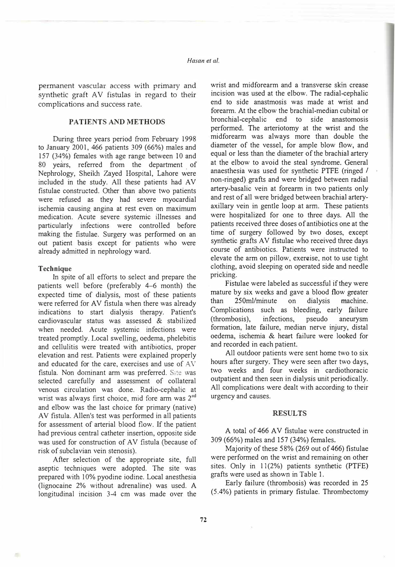permanent vascular access with primary and synthetic graft AV fistulas in regard to their complications and success rate.

# PATIENTS AND METHODS

During three years period from February 1998 to January 2001, 466 patients 309 (66%) males and 157 (34%) females with age range between 10 and 80 years, referred from the department of Nephrology, Sheikh Zayed Hospital, Lahore were included in the study. All these patients had AV fistulae constructed. Other than above two patients were refused as they had severe myocardial ischemia causing angina at rest even on maximum medication. Acute severe systemic illnesses and particularly infections were controlled before making the fistulae. Surgery was performed on an out patient basis except for patients who were already admitted in nephrology ward.

## **Technique**

In spite of all efforts to select and prepare the patients well before (preferably 4-6 month) the expected time of dialysis, most of these patients were referred for AV fistula when there was already indications to start dialysis therapy. Patient's cardiovascular status was assessed & stabilized when needed. Acute systemic infections were treated promptly. Local swelling, oedema, phelebitis and cellulitis were treated with antibiotics, proper elevation and rest. Patients were explained properly and educated for the care, exercises and use of AV fistula. Non dominant arm was preferred. S;!e was selected carefully and assessment of collateral venous circulation was done. Radio-cephalic at wrist was always first choice, mid fore arm was 2<sup>nd</sup> and elbow was the last choice for primary (native) AV fistula. Allen's test was performed in all patients for assessment of arterial blood flow. If the patient had previous central catheter insertion, opposite side was used for construction of AV fistula (because of risk of subclavian vein stenosis).

After selection of the appropriate site, full aseptic techniques were adopted. The site was prepared with 10% pyodine iodine. Local anesthesia (lignocaine 2% without adrenaline) was used. A longitudinal incision 3-4 cm was made over the wrist and midforearm and a transverse skin crease incision was used at the elbow. The radial-cephalic end to side anastmosis was made at wrist and forearm. At the elbow the brachial-median cubital or bronchial-cephalic end to side anastomosis performed. The arteriotomy at the wrist and the midforearm was always more than double the diameter of the vessel, for ample blow flow, and equal or less than the diameter of the brachial artery at the elbow to avoid the steal syndrome. General anaesthesia was used for synthetic PTFE (ringed *I* non-ringed) grafts and were bridged between radial artery-basalic vein at forearm in two patients only and rest of all were bridged between brachia) arteryaxillary vein in gentle loop at arm. These patients were hospitalized for one to three days. All the patients received three doses of antibiotics one at the time of surgery followed by two doses, except synthetic grafts AV fistulae who received three days course of antibiotics. Patients were instructed to elevate the arm on pillow, exereise, not to use tight clothing, avoid sleeping on operated side and needle pricking.

Fistulae were labeled as successful if they were mature by six weeks and gave a blood flow greater than 250ml/minute on dialysis machine. Complications such as bleeding, early failure (thrombosis), infections, pseudo aneurysm formation, late failure, median nerve injury, distal oedema, ischemia & heart failure were looked for and recorded in each patient.

All outdoor patients were sent home two to six hours after surgery. They were seen after two days, two weeks and four weeks in cardiothoracic outpatient and then seen in dialysis unit periodically. All complications were dealt with according to their urgency and causes.

## RESULTS

A total of 466 AV fistulae were constructed in 309 (66%) males and 157 (34%) females.

Majority of these 58% (269 out of 466) fistulae were performed on the wrist and remaining on other sites. Only in  $11(2%)$  patients synthetic (PTFE) grafts were used as shown in Table 1.

Early failure (thrombosis) was recorded in 25 (5.4%) patients in primary fistulae. Thrombectomy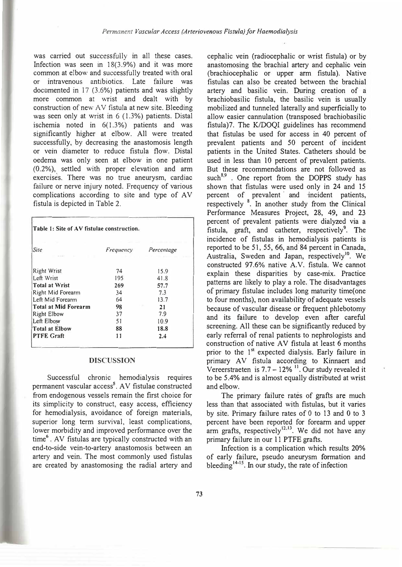was carried out successfully in all these cases. Infection was seen in 18(3.9%) and it was more common at elbow and successfully treated with oral or intravenous antibiotics. Late failure was docomented in 17 (3.6%) patients and was slightly more common at wrist and dealt with by construction of new AV fistula at new site. Bleeding was seen only at wrist in 6 (1.3%) patients. Distal ischemia noted in  $6(1.3\%)$  patients and was significantly higher at elbow. All were treated successfully, by decreasing the anastomosis length or vein diameter to reduce fistula flow. Distal oedema was only seen at elbow in one patient (0.2%),\_ settled with proper elevation and arm exercises. There was no true aneurysm, cardiac failure or nerve injury noted. Frequency of various complications according to site and type of AV fistula is depicted in Table 2.

| Table 1: Site of AV fistulae construction. |           |            |  |  |  |  |  |
|--------------------------------------------|-----------|------------|--|--|--|--|--|
| Site<br><b>STATE</b>                       | Frequency | Percentage |  |  |  |  |  |
| Right Wrist                                | 74        | 15.9       |  |  |  |  |  |
| Left Wrist                                 | 195       | 41.8       |  |  |  |  |  |
| <b>Total at Wrist</b>                      | 269       | 57.7       |  |  |  |  |  |
| Right Mid Forearm                          | 34        | 7.3        |  |  |  |  |  |
| Left Mid Forearm                           | 64        | 13.7       |  |  |  |  |  |
| <b>Total at Mid Forearm</b>                | 98        | 21         |  |  |  |  |  |
| Right Elbow                                | 37        | 7.9        |  |  |  |  |  |
| Left Elbow                                 | 51        | 10.9       |  |  |  |  |  |
| <b>Total at Elbow</b>                      | 88        | 18.8       |  |  |  |  |  |
| <b>PTFE Graft</b>                          | 11        | 2.4        |  |  |  |  |  |

#### **DISCUSSION**

Successful chronic hemodialysis requires permanent vascular access<sup>5</sup>. AV fistulae constructed from endogenous vessels remain the first choice for its simplicity to construct, easy access, efficiency for hemodialysis, avoidance of foreign materials, superior long term survival, least complications, lower morbidity and improved performance over the time**<sup>6</sup> .** AV fistulas are typically constructed with an end-to-side vein-to-artery anastomosis between an artery and vein. The most commonly used fistulas are created by anastomosing the radial artery and

cephalic vein (radiocephalic or wrist fistula) or by anastomosing the brachial artery and cephalic vein (brachiocephalic or upper arm fistula). Native fistulas can also be created between the brachial artery and basilic vein. During creation of a brachiobasilic fistula, the basilic vein is usually mobilized and tunneled laterally and superficially to allow easier cannulation (transposed brachiobasilic fistula)?. The K/DOQI guidelines has recommend that fistulas be used for access in 40 percent of prevalent patients and 50 percent of incident patients in the United States. Catheters should be used in less than 10 percent of prevalent patients. But these recommendations are not followed as such<sup>8,9</sup> . One report from the DOPPS study has shown that fistulas were used only in 24 and 15 percent of prevalent and incident patients, respectively <sup>8</sup>. In another study from the Clinical Performance Measures Project, 28, 49, and 23 percent of prevalent patients were dialyzed via a fistula, graft, and catheter, respectively<sup>9</sup>. The incidence of fistulas in hemodialysis patients is reported to be 51, 55, 66, and 84 percent in Canada, Australia, Sweden and Japan, respectively<sup>10</sup>. We constructed 97.6% native A.V. fistula. We cannot explain these disparities by case-mix. Practice patterns are likely to play a role. The disadvantages of primary fistulae includes long maturity time(one to four months), non availability of adequate vessels because of vascular disease or frequent phlebotomy and its failure to develop even after careful screening. All these can be significantly reduced by early referral of renal patients to nephrologists and construction of native AV fistula at least 6 months prior to the 1<sup>st</sup> expected dialysis. Early failure in primary AV fistula according to Kinnaert and Vereerstraeten is 7.7 - 12%<sup>11</sup>. Our study revealed it to be 5.4% and is almost equally distributed at wrist and elbow.

The primary failure rates of grafts are much less than that associated with fistulas, but it varies by site. Primary failure rates of O to 13 and O to 3 percent have been reported for forearm and upper arm grafts, respectively<sup>12,13</sup>. We did not have any primary failure in our 11 PTFE grafts.

Infection is a complication which results 20% of early failure, pseudo aneurysm formation and bleeding<sup>14-15</sup>. In our study, the rate of infection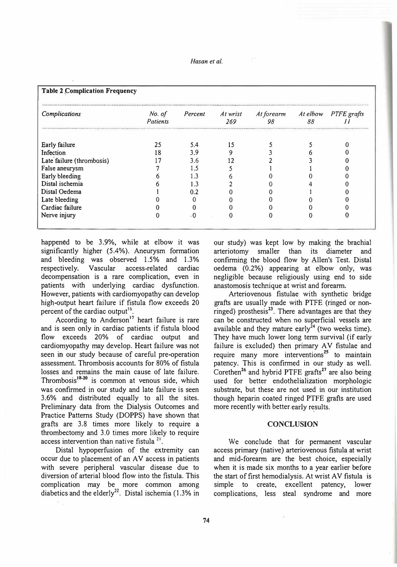| Hasan et al. |  |  |  |
|--------------|--|--|--|
|--------------|--|--|--|

| <b>Table 2 Complication Frequency</b> |                 |                         |     |                                       |    |  |  |
|---------------------------------------|-----------------|-------------------------|-----|---------------------------------------|----|--|--|
| Complications                         | <b>Patients</b> | No. of Percent At wrist | 269 | At forearm At elbow PTFE grafts<br>98 | 88 |  |  |
| Early failure                         | 25              | 5.4                     | 15  |                                       |    |  |  |
| Infection                             |                 | 3.9                     |     |                                       |    |  |  |
| Late failure (thrombosis)             | 17              | 3.6                     | רו  |                                       |    |  |  |
| False aneurysm                        |                 |                         |     |                                       |    |  |  |
| Early bleeding                        |                 |                         |     |                                       |    |  |  |
| Distal ischemia                       |                 |                         |     |                                       |    |  |  |
| Distal Oedema                         |                 | 0.2                     |     |                                       |    |  |  |
| Late bleeding                         |                 |                         |     |                                       |    |  |  |
| Cardiac failure                       |                 |                         |     |                                       |    |  |  |
| Nerve injury                          |                 | $\cdot$ O               |     |                                       |    |  |  |
|                                       |                 |                         |     |                                       |    |  |  |

happened to be 3.9%, while at elbow it was significantly higher (5.4%). Aneurysm formation and bleeding was observed 1.5% and 1.3% respectively. Vascular access-related cardiac decompensation is a rare complication, even in patients with underlying cardiac dysfunction. However, patients with cardiomyopathy can develop high-output heart failure if fistula flow exceeds 20 percent of the cardiac output<sup>16</sup>.

According to Anderson<sup>17</sup> heart failure is rare and is seen only in cardiac patients if fistula blood flow exceeds 20% of cardiac output and cardiomyopathy may develop. Heart failure was not seen in our study because of careful pre-operation assessment. Thrombosis accounts for 80% of fistula losses and remains the main cause of late failure. Thrombosis<sup>18-20</sup> is common at venous side, which was confirmed in our study and late failure is seen 3.6% and distributed equally to all the sites. Preliminary data from the Dialysis Outcomes and Practice Patterns Study (DOPPS) have shown that grafts are 3.8 times more likely to require a thrombectomy and 3.0 times more likely to require access intervention than native fistula  $2^1$ .

Distal hypoperfusion of the extremity can occur due to placement of an AV access in patients with severe peripheral vascular disease due to diversion of arterial blood flow into the fistula. This complication may be more common among diabetics and the elderly<sup>22</sup>. Distal ischemia (1.3% in our study) was kept low by making the brachia! arteriotomy smaller than its diameter and confirming the blood flow by Allen's Test. Distal oedema (0.2%) appearing at elbow only, was negligible because religiously using end to side anastomosis technique at wrist and forearm.

Arteriovenous fistulae with synthetic bridge grafts are usually made with PTFE (ringed or nonringed) prosthesis<sup>23</sup>. There advantages are that they can be constructed when no superficial vessels are available and they mature early<sup> $24$ </sup> (two weeks time). They have much lower long term survival (if early failure is excluded) then primary AV fistulae and require many more interventions<sup>25</sup> to maintain patency. This is confirmed in our study as well. Corethen<sup>26</sup> and hybrid PTFE grafts<sup>27</sup> are also being used for better endothelialization morphologic substrate, but these are not used in our institution though heparin coated ringed PTFE grafts are used more recently with better early results.

## **CONCLUSION**

We conclude that for permanent vascular access primary (native) arteriovenous fistula at wrist and mid-forearm are the best choice, especially when it is made six months to a year earlier before the start of first hemodialysis. At wrist AV fistula is simple to create, excellent patency, lower complications, less steal syndrome and more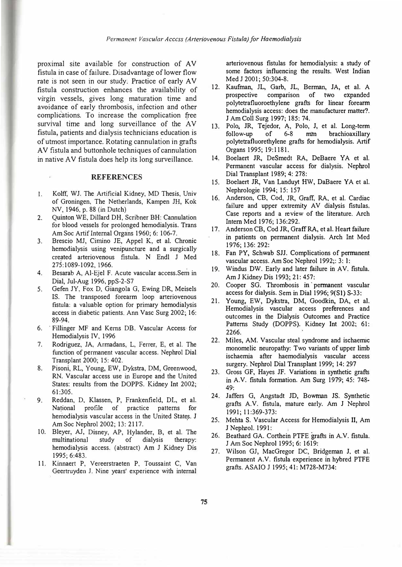proximal site available for construction of AV fistula in case of failure. Disadvantage of lower flow rate is not seen in our study: Practice of early AV fistula construction enhances the availability of virgin vessels, gives long maturation time and avoidance of early thrombosis, infection and other complications. To increase the complication free survival time and long surveillance of the AV fistula, patients and dialysis technicians education is of utmost importance. Rotating cannulation in grafts AV fistula and buttonhole techniques of cannulation in native AV fistula does help its long surveillance.

#### REFERENCES

- I. Kolff, WJ. The Artificial Kidney, MD Thesis, Univ of Groningen, The Netherlands, Kampen JH, Kok NV, 1946, p. 88 (in Dutch)
- 2. Quinton WE, Dillard DH, Scribner BH: Cannulation for blood vessels for prolonged hemodialysis. Trans Am Soc Artif Internal Organs 1960; 6: 106-7.
- 3. Brescio MJ, Cimino JE, Appel K, et al. Chronic hemodialysis using venipuncture and a surgically created arteriovenous fistula. N Endl J Med 275:1089-1092, 1966.
- 4. Besarab A, Al-Ejel F. Acute vascular access.Sem in Dial, Jul-Aug 1996, ppS-2-S7
- 5. Gefen JY, Fox D, Giangola G, Ewing DR, Meisels IS. The transposed forearm loop arteriovenous fistula: a valuable option for primary hemodialysis access in diabetic patients. Ann Vasc Surg 2002; 16: 89-94.
- 6. · Fillinger MF and Kerns DB. Vascular Access· for Hemodialysis IV, 1996
- 7. Rodriguez, JA, Armadans, L, Ferrer, E, et al. The function of permanent vascular access. Nephrol Dial Transplant 2000; 15: 402.
- 8. Pisoni, RL, Young, EW, Dykstra, DM, Greenwood, RN. Vascular access use in Europe and the United States: results from the DOPPS. Kidney Int 2002; 61:305.
- 9. Reddan, D, Klassen, P, Frankenfield, DL, et al. National profile of practice patterns for hemodialysis vascular access in the United States. J Am Soc Nephrol 2002; 13: 2117.
- 10. Bleyer, AJ, Disney, AP, Hylander, B, et al. The multinationa<br>. study of dialysis therapy: hemodialysis access. (abstract) Am J Kidney Dis 1995; 6:483.
- 11. Kinnaert P, Vereerstraeten P, Toussaint C, Van Geertruyden J. Nine years' experience with internal

arteriovenous fistulas for hemodialysis: a study of some factors influencing the results. West Indian Med J 2001; 50:304-8.

- 12. Kaufman, JL, Garb, JL, Berman, JA, et al. A prospective comparison of two expanded polytetrafluoroethylene grafts for linear forearm hemodialysis access: does the manufacturer matter?. J Am Coll Surg 1997; 185: 74.
- 13. Polo. JR, Tejedor, A, Polo, J, et al. Long-term follow-up of 6-8 mm brachioaxillary polytetrafluorethylene grafts for hemodialysis. Artif Organs 1995; 19:1181.
- 14. Boelaert JR, DeSmedt RA, DeBaere YA et al. Permanent vascular access for dialysis. Nephrol Dial Transplant 1989; 4: 278:
- 15. Boelaert JR, Van Landuyt HW, DaBaere YA et al. Nephrologie 1994; 15: 157
- 16. Anderson, CB, Cod, JR, Graff, RA. et al. Cardiac failure and upper extremity AV dialysis fistulas. Case reports and a review of the literature. Arch Intern Med 1976; 136:292.
- 17. Anderson CB, Cod JR, Graff RA, et al. Heart failure in patients on permanent dialysis. Arch Int Med 1976; 136:292:
- 18. Fan PY, Schwab SJJ. Complications of permanent vascular access. Am Soc Nephrol 1992;: 3: l:
- 19. Windus DW. Early and later failure in AV. fistula. Am J Kidney Dis 1993; 21: 457:
- 20. Cooper SG. Thrombosis in· permanent vascular access for dialysis. Sem in Dial 1996; 9(S1) S-33:
- 21. Young, EW, Dykstra, DM, Goodkin, DA, et al. Hemodialysis vascular access preferences and outcomes in the Dialysis Outcomes and Practice Patterns Study (DOPPS). Kidney Int 2002; 61: 2266.
- 22. Miles, AM. Vascular steal syndrome and ischaemic monomelic neuropathy: Two variants of upper limb ischaemia after haemodialysis vascular access surgery. Nephrol Dial Transplant 1999; 14: 297
- 23. Gross GF, Hayes JF. Variations in synthetic grafts in A.V. fistula formation. Am Surg 1979; 45: 748- 49:
- 24. Jaffers G, Angstadt JD, Bowman JS. Synthetic grafts A.V. fistula, mature early. Am J Nephrol 1991; 11:369-373:
- 25. Mehta S. Vascular Access for Hemodialysis II, Am J Nephrol. 1991:
- 26. Beathard GA. Corthein PTFE grafts in A.V. fistula. J Am Soc Nephrol 1995; 6: 1619:
- 27. Wilson GJ, MacGregor DC, Bridgeman J, et al. Pennanent A.V. fistula experience in hybred PTFE grafts. ASAIO J 1995; 41: M728-M734: